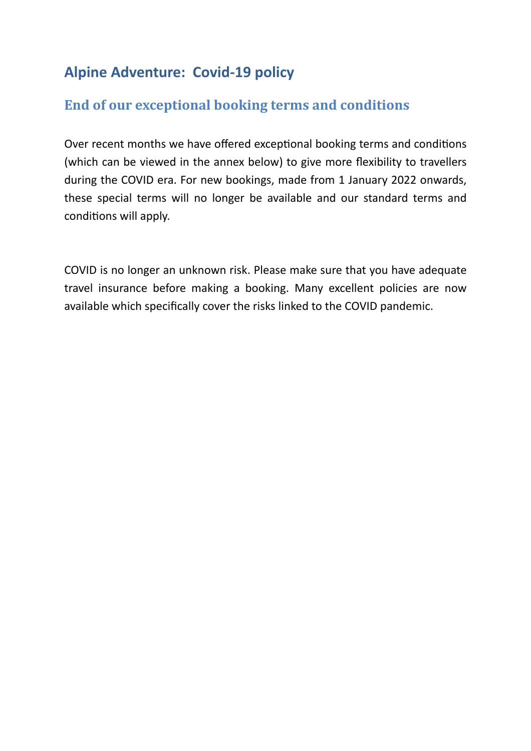## **Alpine Adventure: Covid-19 policy**

## **End of our exceptional booking terms and conditions**

Over recent months we have offered exceptional booking terms and conditions (which can be viewed in the annex below) to give more flexibility to travellers during the COVID era. For new bookings, made from 1 January 2022 onwards, these special terms will no longer be available and our standard terms and conditions will apply.

COVID is no longer an unknown risk. Please make sure that you have adequate travel insurance before making a booking. Many excellent policies are now available which specifically cover the risks linked to the COVID pandemic.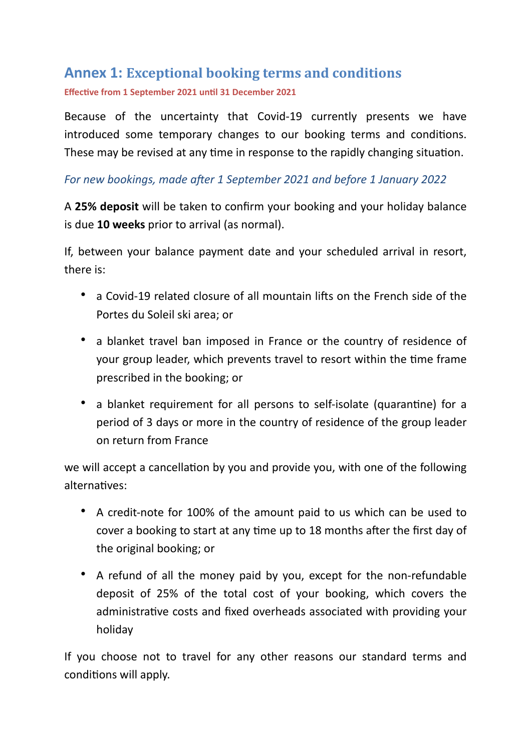## **Annex 1: Exceptional booking terms and conditions Effective from 1 September 2021 until 31 December 2021**

Because of the uncertainty that Covid-19 currently presents we have introduced some temporary changes to our booking terms and conditions. These may be revised at any time in response to the rapidly changing situation.

## *For new bookings, made after 1 September 2021 and before 1 January 2022*

A **25% deposit** will be taken to confirm your booking and your holiday balance is due **10 weeks** prior to arrival (as normal).

If, between your balance payment date and your scheduled arrival in resort, there is:

- a Covid-19 related closure of all mountain lifts on the French side of the Portes du Soleil ski area; or
- a blanket travel ban imposed in France or the country of residence of your group leader, which prevents travel to resort within the time frame prescribed in the booking; or
- a blanket requirement for all persons to self-isolate (quarantine) for a period of 3 days or more in the country of residence of the group leader on return from France

we will accept a cancellation by you and provide you, with one of the following alternatives:

- A credit-note for 100% of the amount paid to us which can be used to cover a booking to start at any time up to 18 months after the first day of the original booking; or
- A refund of all the money paid by you, except for the non-refundable deposit of 25% of the total cost of your booking, which covers the administrative costs and fixed overheads associated with providing your holiday

If you choose not to travel for any other reasons our standard terms and conditions will apply.